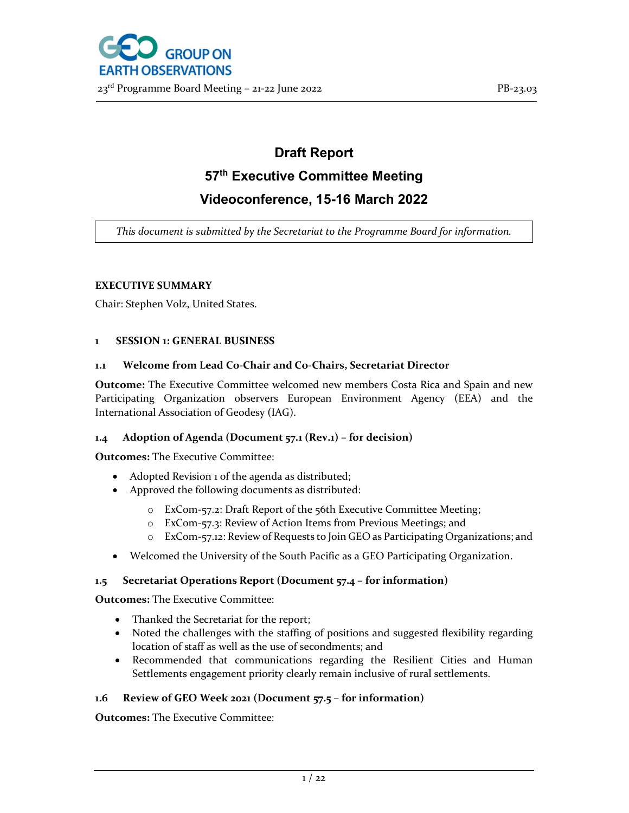

# Draft Report

## 57<sup>th</sup> Executive Committee Meeting

### Videoconference, 15-16 March 2022

This document is submitted by the Secretariat to the Programme Board for information.

#### EXECUTIVE SUMMARY

Chair: Stephen Volz, United States.

#### 1 SESSION 1: GENERAL BUSINESS

#### 1.1 Welcome from Lead Co-Chair and Co-Chairs, Secretariat Director

Outcome: The Executive Committee welcomed new members Costa Rica and Spain and new Participating Organization observers European Environment Agency (EEA) and the International Association of Geodesy (IAG).

#### 1.4 Adoption of Agenda (Document 57.1 (Rev.1) – for decision)

Outcomes: The Executive Committee:

- Adopted Revision 1 of the agenda as distributed;
- Approved the following documents as distributed:
	- o ExCom-57.2: Draft Report of the 56th Executive Committee Meeting;
	- o ExCom-57.3: Review of Action Items from Previous Meetings; and
	- o ExCom-57.12: Review of Requests to Join GEO as Participating Organizations; and
- Welcomed the University of the South Pacific as a GEO Participating Organization.

#### 1.5 Secretariat Operations Report (Document 57.4 – for information)

Outcomes: The Executive Committee:

- Thanked the Secretariat for the report;
- Noted the challenges with the staffing of positions and suggested flexibility regarding location of staff as well as the use of secondments; and
- Recommended that communications regarding the Resilient Cities and Human Settlements engagement priority clearly remain inclusive of rural settlements.

#### 1.6 Review of GEO Week 2021 (Document 57.5 – for information)

Outcomes: The Executive Committee: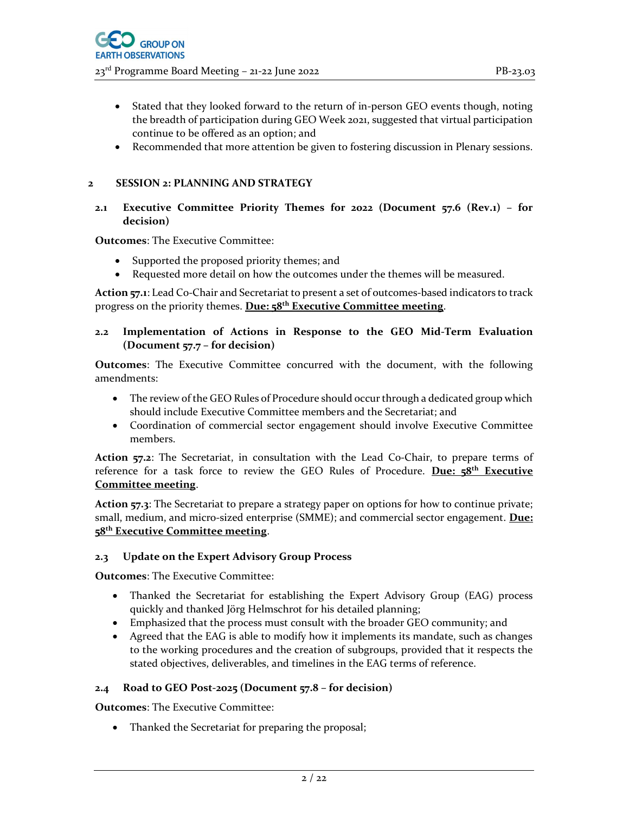- Stated that they looked forward to the return of in-person GEO events though, noting the breadth of participation during GEO Week 2021, suggested that virtual participation continue to be offered as an option; and
- Recommended that more attention be given to fostering discussion in Plenary sessions.

#### 2 SESSION 2: PLANNING AND STRATEGY

#### 2.1 Executive Committee Priority Themes for 2022 (Document 57.6 (Rev.1) – for decision)

Outcomes: The Executive Committee:

- Supported the proposed priority themes; and
- Requested more detail on how the outcomes under the themes will be measured.

Action 57.1: Lead Co-Chair and Secretariat to present a set of outcomes-based indicators to track progress on the priority themes. Due:  $58<sup>th</sup>$  Executive Committee meeting.

#### 2.2 Implementation of Actions in Response to the GEO Mid-Term Evaluation (Document 57.7 – for decision)

Outcomes: The Executive Committee concurred with the document, with the following amendments:

- The review of the GEO Rules of Procedure should occur through a dedicated group which should include Executive Committee members and the Secretariat; and
- Coordination of commercial sector engagement should involve Executive Committee members.

Action 57.2: The Secretariat, in consultation with the Lead Co-Chair, to prepare terms of reference for a task force to review the GEO Rules of Procedure. Due: 58<sup>th</sup> Executive Committee meeting.

Action 57.3: The Secretariat to prepare a strategy paper on options for how to continue private; small, medium, and micro-sized enterprise (SMME); and commercial sector engagement. Due: 58th Executive Committee meeting.

#### 2.3 Update on the Expert Advisory Group Process

Outcomes: The Executive Committee:

- Thanked the Secretariat for establishing the Expert Advisory Group (EAG) process quickly and thanked Jörg Helmschrot for his detailed planning;
- Emphasized that the process must consult with the broader GEO community; and
- Agreed that the EAG is able to modify how it implements its mandate, such as changes to the working procedures and the creation of subgroups, provided that it respects the stated objectives, deliverables, and timelines in the EAG terms of reference.

#### 2.4 Road to GEO Post-2025 (Document 57.8 – for decision)

Outcomes: The Executive Committee:

• Thanked the Secretariat for preparing the proposal;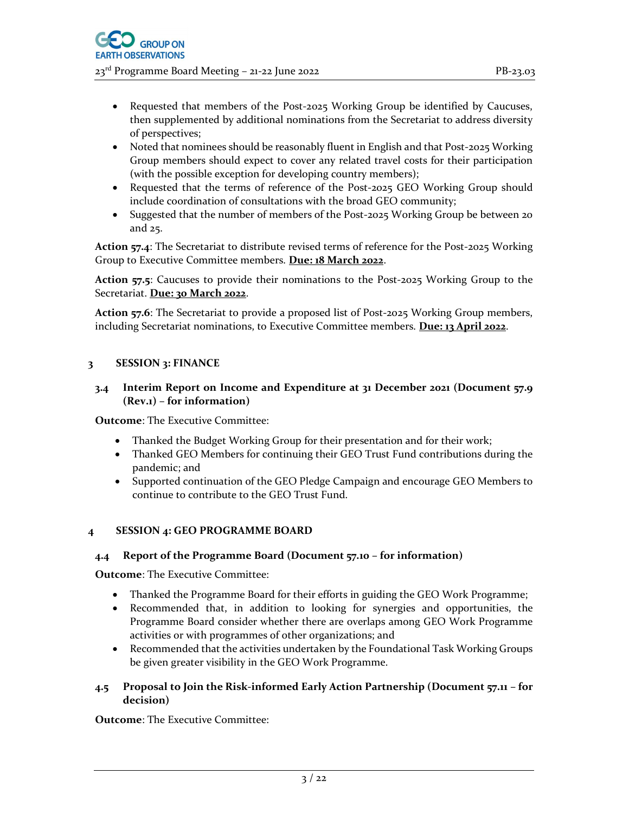- Requested that members of the Post-2025 Working Group be identified by Caucuses, then supplemented by additional nominations from the Secretariat to address diversity of perspectives;
- Noted that nominees should be reasonably fluent in English and that Post-2025 Working Group members should expect to cover any related travel costs for their participation (with the possible exception for developing country members);
- Requested that the terms of reference of the Post-2025 GEO Working Group should include coordination of consultations with the broad GEO community;
- Suggested that the number of members of the Post-2025 Working Group be between 20 and 25.

Action 57.4: The Secretariat to distribute revised terms of reference for the Post-2025 Working Group to Executive Committee members. Due: 18 March 2022.

Action 57.5: Caucuses to provide their nominations to the Post-2025 Working Group to the Secretariat. Due: 30 March 2022.

Action 57.6: The Secretariat to provide a proposed list of Post-2025 Working Group members, including Secretariat nominations, to Executive Committee members. Due: 13 April 2022.

#### 3 SESSION 3: FINANCE

#### 3.4 Interim Report on Income and Expenditure at 31 December 2021 (Document 57.9 (Rev.1) – for information)

Outcome: The Executive Committee:

- Thanked the Budget Working Group for their presentation and for their work;
- Thanked GEO Members for continuing their GEO Trust Fund contributions during the pandemic; and
- Supported continuation of the GEO Pledge Campaign and encourage GEO Members to continue to contribute to the GEO Trust Fund.

#### 4 SESSION 4: GEO PROGRAMME BOARD

#### 4.4 Report of the Programme Board (Document 57.10 – for information)

Outcome: The Executive Committee:

- Thanked the Programme Board for their efforts in guiding the GEO Work Programme;
- Recommended that, in addition to looking for synergies and opportunities, the Programme Board consider whether there are overlaps among GEO Work Programme activities or with programmes of other organizations; and
- Recommended that the activities undertaken by the Foundational Task Working Groups be given greater visibility in the GEO Work Programme.

#### 4.5 Proposal to Join the Risk-informed Early Action Partnership (Document 57.11 – for decision)

Outcome: The Executive Committee: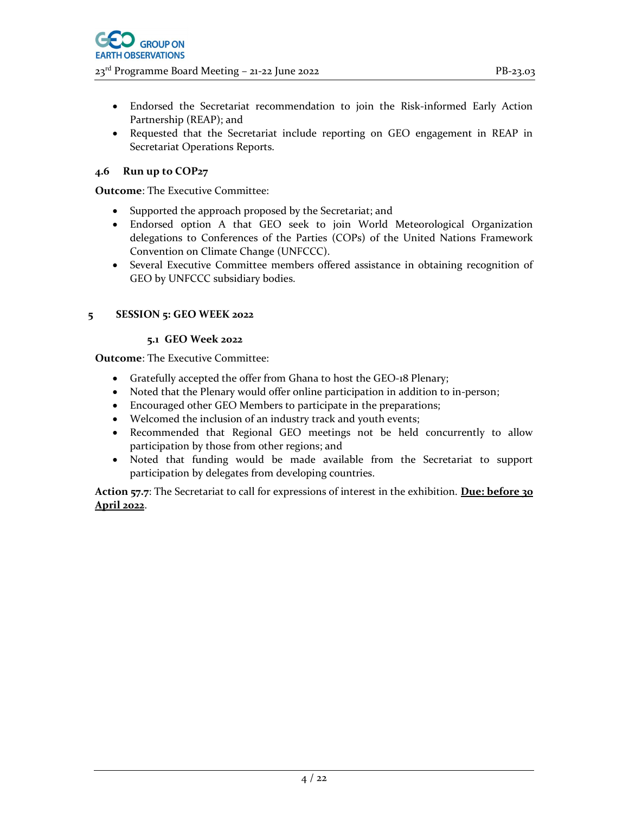- Endorsed the Secretariat recommendation to join the Risk-informed Early Action Partnership (REAP); and
- Requested that the Secretariat include reporting on GEO engagement in REAP in Secretariat Operations Reports.

#### 4.6 Run up to COP27

Outcome: The Executive Committee:

- Supported the approach proposed by the Secretariat; and
- Endorsed option A that GEO seek to join World Meteorological Organization delegations to Conferences of the Parties (COPs) of the United Nations Framework Convention on Climate Change (UNFCCC).
- Several Executive Committee members offered assistance in obtaining recognition of GEO by UNFCCC subsidiary bodies.

#### 5 SESSION 5: GEO WEEK 2022

#### 5.1 GEO Week 2022

Outcome: The Executive Committee:

- Gratefully accepted the offer from Ghana to host the GEO-18 Plenary;
- Noted that the Plenary would offer online participation in addition to in-person;
- Encouraged other GEO Members to participate in the preparations;
- Welcomed the inclusion of an industry track and youth events;
- Recommended that Regional GEO meetings not be held concurrently to allow participation by those from other regions; and
- Noted that funding would be made available from the Secretariat to support participation by delegates from developing countries.

Action 57.7: The Secretariat to call for expressions of interest in the exhibition. Due: before 30 April 2022.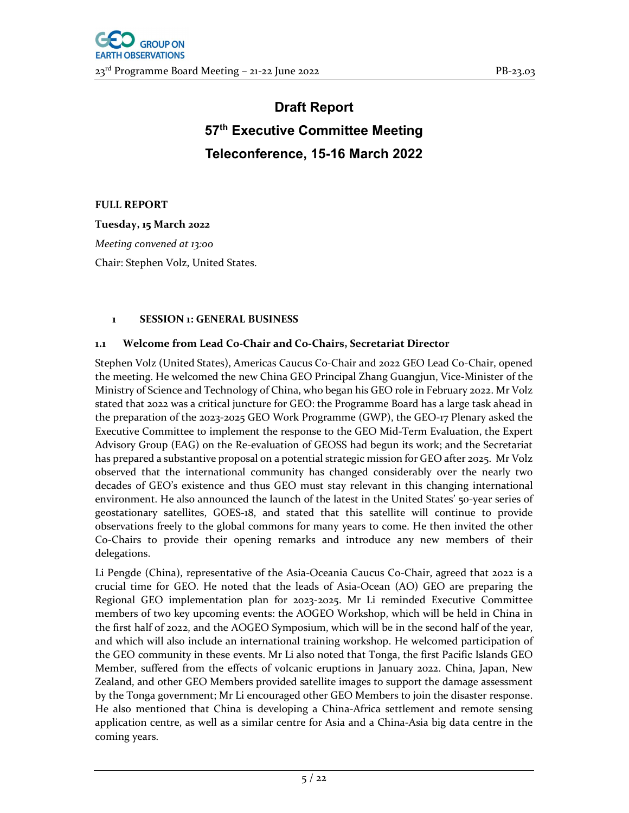## Draft Report 57<sup>th</sup> Executive Committee Meeting Teleconference, 15-16 March 2022

#### FULL REPORT

#### Tuesday, 15 March 2022

Meeting convened at 13:00

Chair: Stephen Volz, United States.

#### 1 SESSION 1: GENERAL BUSINESS

#### 1.1 Welcome from Lead Co-Chair and Co-Chairs, Secretariat Director

Stephen Volz (United States), Americas Caucus Co-Chair and 2022 GEO Lead Co-Chair, opened the meeting. He welcomed the new China GEO Principal Zhang Guangjun, Vice-Minister of the Ministry of Science and Technology of China, who began his GEO role in February 2022. Mr Volz stated that 2022 was a critical juncture for GEO: the Programme Board has a large task ahead in the preparation of the 2023-2025 GEO Work Programme (GWP), the GEO-17 Plenary asked the Executive Committee to implement the response to the GEO Mid-Term Evaluation, the Expert Advisory Group (EAG) on the Re-evaluation of GEOSS had begun its work; and the Secretariat has prepared a substantive proposal on a potential strategic mission for GEO after 2025. Mr Volz observed that the international community has changed considerably over the nearly two decades of GEO's existence and thus GEO must stay relevant in this changing international environment. He also announced the launch of the latest in the United States' 50-year series of geostationary satellites, GOES-18, and stated that this satellite will continue to provide observations freely to the global commons for many years to come. He then invited the other Co-Chairs to provide their opening remarks and introduce any new members of their delegations.

Li Pengde (China), representative of the Asia-Oceania Caucus Co-Chair, agreed that 2022 is a crucial time for GEO. He noted that the leads of Asia-Ocean (AO) GEO are preparing the Regional GEO implementation plan for 2023-2025. Mr Li reminded Executive Committee members of two key upcoming events: the AOGEO Workshop, which will be held in China in the first half of 2022, and the AOGEO Symposium, which will be in the second half of the year, and which will also include an international training workshop. He welcomed participation of the GEO community in these events. Mr Li also noted that Tonga, the first Pacific Islands GEO Member, suffered from the effects of volcanic eruptions in January 2022. China, Japan, New Zealand, and other GEO Members provided satellite images to support the damage assessment by the Tonga government; Mr Li encouraged other GEO Members to join the disaster response. He also mentioned that China is developing a China-Africa settlement and remote sensing application centre, as well as a similar centre for Asia and a China-Asia big data centre in the coming years.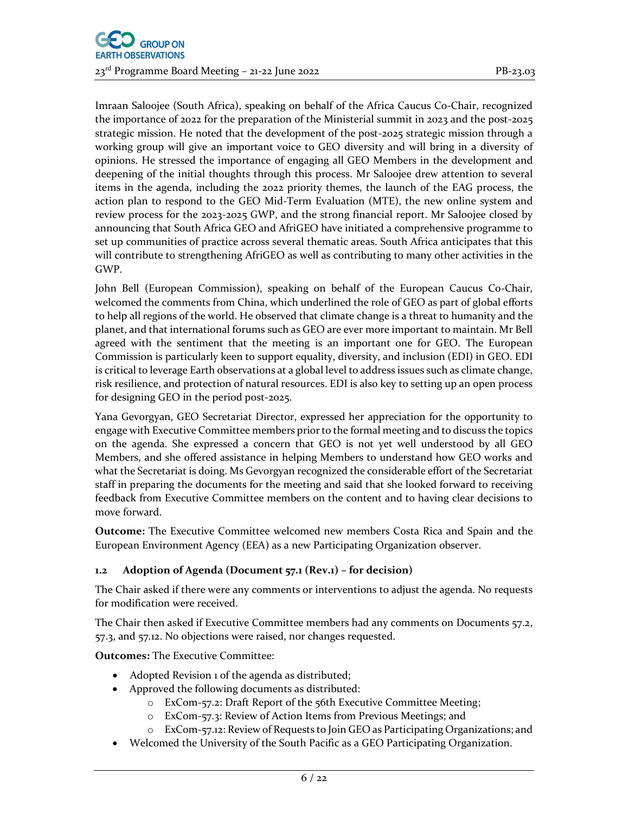Imraan Saloojee (South Africa), speaking on behalf of the Africa Caucus Co-Chair, recognized the importance of 2022 for the preparation of the Ministerial summit in 2023 and the post-2025 strategic mission. He noted that the development of the post-2025 strategic mission through a working group will give an important voice to GEO diversity and will bring in a diversity of opinions. He stressed the importance of engaging all GEO Members in the development and deepening of the initial thoughts through this process. Mr Saloojee drew attention to several items in the agenda, including the 2022 priority themes, the launch of the EAG process, the action plan to respond to the GEO Mid-Term Evaluation (MTE), the new online system and review process for the 2023-2025 GWP, and the strong financial report. Mr Saloojee closed by announcing that South Africa GEO and AfriGEO have initiated a comprehensive programme to set up communities of practice across several thematic areas. South Africa anticipates that this will contribute to strengthening AfriGEO as well as contributing to many other activities in the GWP.

John Bell (European Commission), speaking on behalf of the European Caucus Co-Chair, welcomed the comments from China, which underlined the role of GEO as part of global efforts to help all regions of the world. He observed that climate change is a threat to humanity and the planet, and that international forums such as GEO are ever more important to maintain. Mr Bell agreed with the sentiment that the meeting is an important one for GEO. The European Commission is particularly keen to support equality, diversity, and inclusion (EDI) in GEO. EDI is critical to leverage Earth observations at a global level to address issues such as climate change, risk resilience, and protection of natural resources. EDI is also key to setting up an open process for designing GEO in the period post-2025.

Yana Gevorgyan, GEO Secretariat Director, expressed her appreciation for the opportunity to engage with Executive Committee members prior to the formal meeting and to discuss the topics on the agenda. She expressed a concern that GEO is not yet well understood by all GEO Members, and she offered assistance in helping Members to understand how GEO works and what the Secretariat is doing. Ms Gevorgyan recognized the considerable effort of the Secretariat staff in preparing the documents for the meeting and said that she looked forward to receiving feedback from Executive Committee members on the content and to having clear decisions to move forward.

Outcome: The Executive Committee welcomed new members Costa Rica and Spain and the European Environment Agency (EEA) as a new Participating Organization observer.

#### 1.2 Adoption of Agenda (Document 57.1 (Rev.1) – for decision)

The Chair asked if there were any comments or interventions to adjust the agenda. No requests for modification were received.

The Chair then asked if Executive Committee members had any comments on Documents 57.2, 57.3, and 57.12. No objections were raised, nor changes requested.

Outcomes: The Executive Committee:

- Adopted Revision 1 of the agenda as distributed;
- Approved the following documents as distributed:
	- o ExCom-57.2: Draft Report of the 56th Executive Committee Meeting;
	- o ExCom-57.3: Review of Action Items from Previous Meetings; and
	- o ExCom-57.12: Review of Requests to Join GEO as Participating Organizations; and
- Welcomed the University of the South Pacific as a GEO Participating Organization.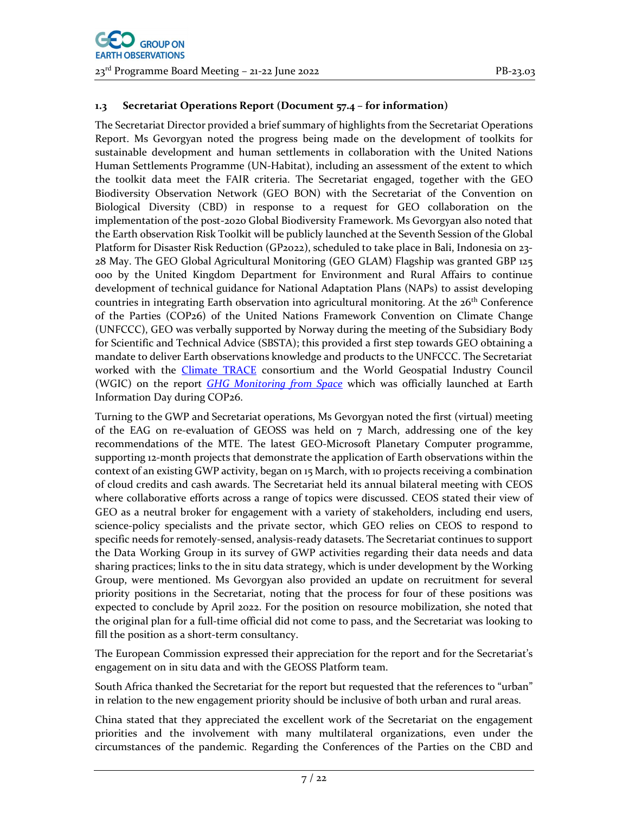#### 1.3 Secretariat Operations Report (Document 57.4 – for information)

The Secretariat Director provided a brief summary of highlights from the Secretariat Operations Report. Ms Gevorgyan noted the progress being made on the development of toolkits for sustainable development and human settlements in collaboration with the United Nations Human Settlements Programme (UN-Habitat), including an assessment of the extent to which the toolkit data meet the FAIR criteria. The Secretariat engaged, together with the GEO Biodiversity Observation Network (GEO BON) with the Secretariat of the Convention on Biological Diversity (CBD) in response to a request for GEO collaboration on the implementation of the post-2020 Global Biodiversity Framework. Ms Gevorgyan also noted that the Earth observation Risk Toolkit will be publicly launched at the Seventh Session of the Global Platform for Disaster Risk Reduction (GP2022), scheduled to take place in Bali, Indonesia on 23- 28 May. The GEO Global Agricultural Monitoring (GEO GLAM) Flagship was granted GBP 125 000 by the United Kingdom Department for Environment and Rural Affairs to continue development of technical guidance for National Adaptation Plans (NAPs) to assist developing countries in integrating Earth observation into agricultural monitoring. At the  $26<sup>th</sup>$  Conference of the Parties (COP26) of the United Nations Framework Convention on Climate Change (UNFCCC), GEO was verbally supported by Norway during the meeting of the Subsidiary Body for Scientific and Technical Advice (SBSTA); this provided a first step towards GEO obtaining a mandate to deliver Earth observations knowledge and products to the UNFCCC. The Secretariat worked with the Climate TRACE consortium and the World Geospatial Industry Council (WGIC) on the report **GHG** Monitoring from Space which was officially launched at Earth Information Day during COP26.

Turning to the GWP and Secretariat operations, Ms Gevorgyan noted the first (virtual) meeting of the EAG on re-evaluation of GEOSS was held on 7 March, addressing one of the key recommendations of the MTE. The latest GEO-Microsoft Planetary Computer programme, supporting 12-month projects that demonstrate the application of Earth observations within the context of an existing GWP activity, began on 15 March, with 10 projects receiving a combination of cloud credits and cash awards. The Secretariat held its annual bilateral meeting with CEOS where collaborative efforts across a range of topics were discussed. CEOS stated their view of GEO as a neutral broker for engagement with a variety of stakeholders, including end users, science-policy specialists and the private sector, which GEO relies on CEOS to respond to specific needs for remotely-sensed, analysis-ready datasets. The Secretariat continues to support the Data Working Group in its survey of GWP activities regarding their data needs and data sharing practices; links to the in situ data strategy, which is under development by the Working Group, were mentioned. Ms Gevorgyan also provided an update on recruitment for several priority positions in the Secretariat, noting that the process for four of these positions was expected to conclude by April 2022. For the position on resource mobilization, she noted that the original plan for a full-time official did not come to pass, and the Secretariat was looking to fill the position as a short-term consultancy.

The European Commission expressed their appreciation for the report and for the Secretariat's engagement on in situ data and with the GEOSS Platform team.

South Africa thanked the Secretariat for the report but requested that the references to "urban" in relation to the new engagement priority should be inclusive of both urban and rural areas.

China stated that they appreciated the excellent work of the Secretariat on the engagement priorities and the involvement with many multilateral organizations, even under the circumstances of the pandemic. Regarding the Conferences of the Parties on the CBD and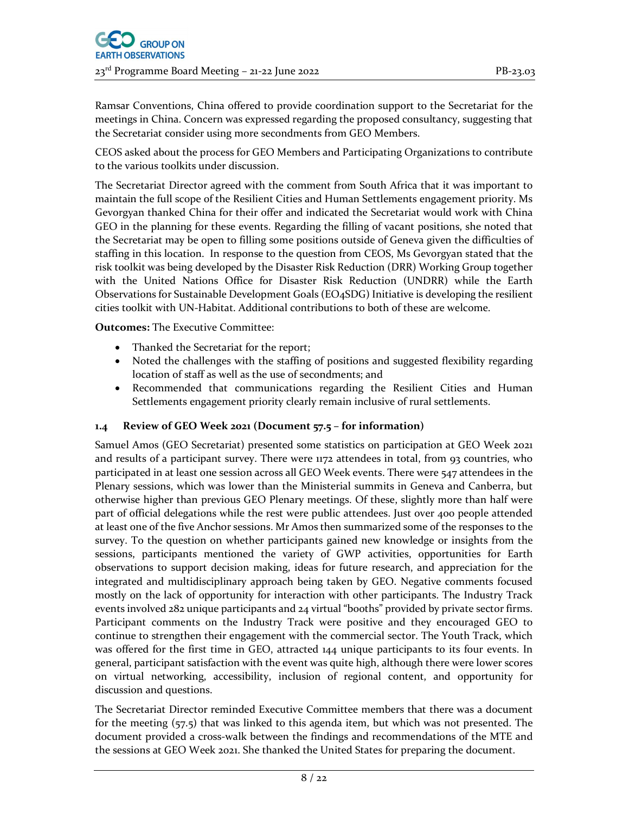Ramsar Conventions, China offered to provide coordination support to the Secretariat for the meetings in China. Concern was expressed regarding the proposed consultancy, suggesting that the Secretariat consider using more secondments from GEO Members.

CEOS asked about the process for GEO Members and Participating Organizations to contribute to the various toolkits under discussion.

The Secretariat Director agreed with the comment from South Africa that it was important to maintain the full scope of the Resilient Cities and Human Settlements engagement priority. Ms Gevorgyan thanked China for their offer and indicated the Secretariat would work with China GEO in the planning for these events. Regarding the filling of vacant positions, she noted that the Secretariat may be open to filling some positions outside of Geneva given the difficulties of staffing in this location. In response to the question from CEOS, Ms Gevorgyan stated that the risk toolkit was being developed by the Disaster Risk Reduction (DRR) Working Group together with the United Nations Office for Disaster Risk Reduction (UNDRR) while the Earth Observations for Sustainable Development Goals (EO4SDG) Initiative is developing the resilient cities toolkit with UN-Habitat. Additional contributions to both of these are welcome.

Outcomes: The Executive Committee:

- Thanked the Secretariat for the report;
- Noted the challenges with the staffing of positions and suggested flexibility regarding location of staff as well as the use of secondments; and
- Recommended that communications regarding the Resilient Cities and Human Settlements engagement priority clearly remain inclusive of rural settlements.

#### 1.4 Review of GEO Week 2021 (Document 57.5 – for information)

Samuel Amos (GEO Secretariat) presented some statistics on participation at GEO Week 2021 and results of a participant survey. There were 1172 attendees in total, from 93 countries, who participated in at least one session across all GEO Week events. There were 547 attendees in the Plenary sessions, which was lower than the Ministerial summits in Geneva and Canberra, but otherwise higher than previous GEO Plenary meetings. Of these, slightly more than half were part of official delegations while the rest were public attendees. Just over 400 people attended at least one of the five Anchor sessions. Mr Amos then summarized some of the responses to the survey. To the question on whether participants gained new knowledge or insights from the sessions, participants mentioned the variety of GWP activities, opportunities for Earth observations to support decision making, ideas for future research, and appreciation for the integrated and multidisciplinary approach being taken by GEO. Negative comments focused mostly on the lack of opportunity for interaction with other participants. The Industry Track events involved 282 unique participants and 24 virtual "booths" provided by private sector firms. Participant comments on the Industry Track were positive and they encouraged GEO to continue to strengthen their engagement with the commercial sector. The Youth Track, which was offered for the first time in GEO, attracted 144 unique participants to its four events. In general, participant satisfaction with the event was quite high, although there were lower scores on virtual networking, accessibility, inclusion of regional content, and opportunity for discussion and questions.

The Secretariat Director reminded Executive Committee members that there was a document for the meeting (57.5) that was linked to this agenda item, but which was not presented. The document provided a cross-walk between the findings and recommendations of the MTE and the sessions at GEO Week 2021. She thanked the United States for preparing the document.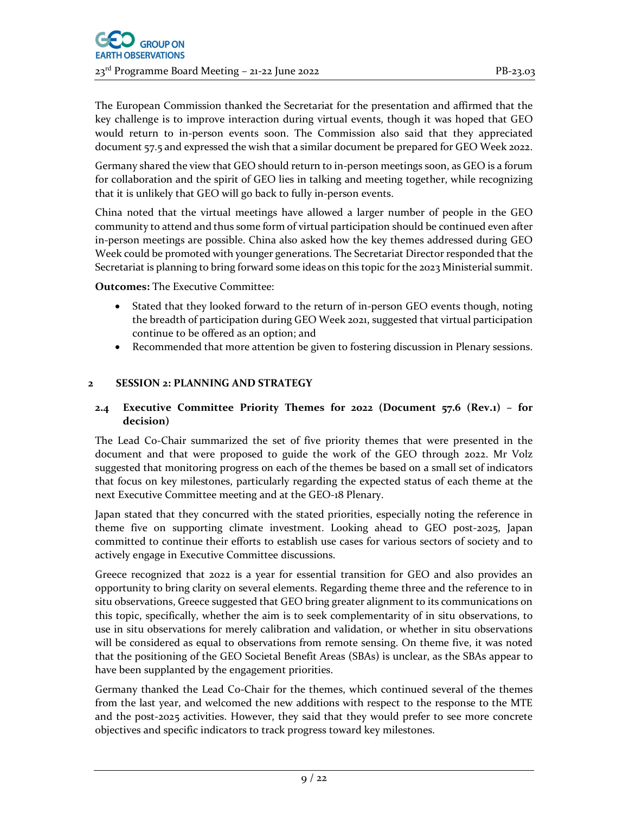The European Commission thanked the Secretariat for the presentation and affirmed that the key challenge is to improve interaction during virtual events, though it was hoped that GEO would return to in-person events soon. The Commission also said that they appreciated document 57.5 and expressed the wish that a similar document be prepared for GEO Week 2022.

Germany shared the view that GEO should return to in-person meetings soon, as GEO is a forum for collaboration and the spirit of GEO lies in talking and meeting together, while recognizing that it is unlikely that GEO will go back to fully in-person events.

China noted that the virtual meetings have allowed a larger number of people in the GEO community to attend and thus some form of virtual participation should be continued even after in-person meetings are possible. China also asked how the key themes addressed during GEO Week could be promoted with younger generations. The Secretariat Director responded that the Secretariat is planning to bring forward some ideas on this topic for the 2023 Ministerial summit.

Outcomes: The Executive Committee:

- Stated that they looked forward to the return of in-person GEO events though, noting the breadth of participation during GEO Week 2021, suggested that virtual participation continue to be offered as an option; and
- Recommended that more attention be given to fostering discussion in Plenary sessions.

#### 2 SESSION 2: PLANNING AND STRATEGY

#### 2.4 Executive Committee Priority Themes for 2022 (Document 57.6 (Rev.1) – for decision)

The Lead Co-Chair summarized the set of five priority themes that were presented in the document and that were proposed to guide the work of the GEO through 2022. Mr Volz suggested that monitoring progress on each of the themes be based on a small set of indicators that focus on key milestones, particularly regarding the expected status of each theme at the next Executive Committee meeting and at the GEO-18 Plenary.

Japan stated that they concurred with the stated priorities, especially noting the reference in theme five on supporting climate investment. Looking ahead to GEO post-2025, Japan committed to continue their efforts to establish use cases for various sectors of society and to actively engage in Executive Committee discussions.

Greece recognized that 2022 is a year for essential transition for GEO and also provides an opportunity to bring clarity on several elements. Regarding theme three and the reference to in situ observations, Greece suggested that GEO bring greater alignment to its communications on this topic, specifically, whether the aim is to seek complementarity of in situ observations, to use in situ observations for merely calibration and validation, or whether in situ observations will be considered as equal to observations from remote sensing. On theme five, it was noted that the positioning of the GEO Societal Benefit Areas (SBAs) is unclear, as the SBAs appear to have been supplanted by the engagement priorities.

Germany thanked the Lead Co-Chair for the themes, which continued several of the themes from the last year, and welcomed the new additions with respect to the response to the MTE and the post-2025 activities. However, they said that they would prefer to see more concrete objectives and specific indicators to track progress toward key milestones.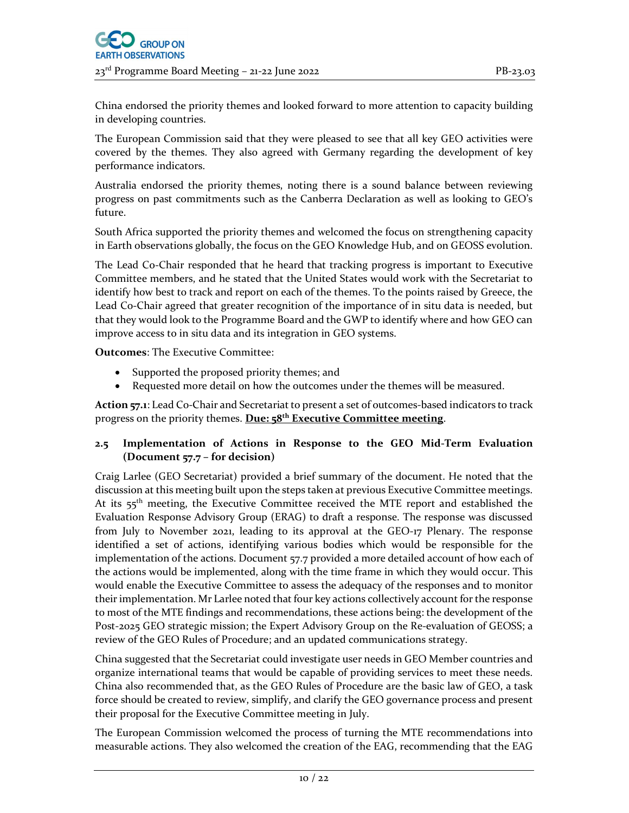China endorsed the priority themes and looked forward to more attention to capacity building in developing countries.

The European Commission said that they were pleased to see that all key GEO activities were covered by the themes. They also agreed with Germany regarding the development of key performance indicators.

Australia endorsed the priority themes, noting there is a sound balance between reviewing progress on past commitments such as the Canberra Declaration as well as looking to GEO's future.

South Africa supported the priority themes and welcomed the focus on strengthening capacity in Earth observations globally, the focus on the GEO Knowledge Hub, and on GEOSS evolution.

The Lead Co-Chair responded that he heard that tracking progress is important to Executive Committee members, and he stated that the United States would work with the Secretariat to identify how best to track and report on each of the themes. To the points raised by Greece, the Lead Co-Chair agreed that greater recognition of the importance of in situ data is needed, but that they would look to the Programme Board and the GWP to identify where and how GEO can improve access to in situ data and its integration in GEO systems.

Outcomes: The Executive Committee:

- Supported the proposed priority themes; and
- Requested more detail on how the outcomes under the themes will be measured.

Action 57.1: Lead Co-Chair and Secretariat to present a set of outcomes-based indicators to track progress on the priority themes. Due: 58<sup>th</sup> Executive Committee meeting.

#### 2.5 Implementation of Actions in Response to the GEO Mid-Term Evaluation (Document 57.7 – for decision)

Craig Larlee (GEO Secretariat) provided a brief summary of the document. He noted that the discussion at this meeting built upon the steps taken at previous Executive Committee meetings. At its 55<sup>th</sup> meeting, the Executive Committee received the MTE report and established the Evaluation Response Advisory Group (ERAG) to draft a response. The response was discussed from July to November 2021, leading to its approval at the GEO-17 Plenary. The response identified a set of actions, identifying various bodies which would be responsible for the implementation of the actions. Document 57.7 provided a more detailed account of how each of the actions would be implemented, along with the time frame in which they would occur. This would enable the Executive Committee to assess the adequacy of the responses and to monitor their implementation. Mr Larlee noted that four key actions collectively account for the response to most of the MTE findings and recommendations, these actions being: the development of the Post-2025 GEO strategic mission; the Expert Advisory Group on the Re-evaluation of GEOSS; a review of the GEO Rules of Procedure; and an updated communications strategy.

China suggested that the Secretariat could investigate user needs in GEO Member countries and organize international teams that would be capable of providing services to meet these needs. China also recommended that, as the GEO Rules of Procedure are the basic law of GEO, a task force should be created to review, simplify, and clarify the GEO governance process and present their proposal for the Executive Committee meeting in July.

The European Commission welcomed the process of turning the MTE recommendations into measurable actions. They also welcomed the creation of the EAG, recommending that the EAG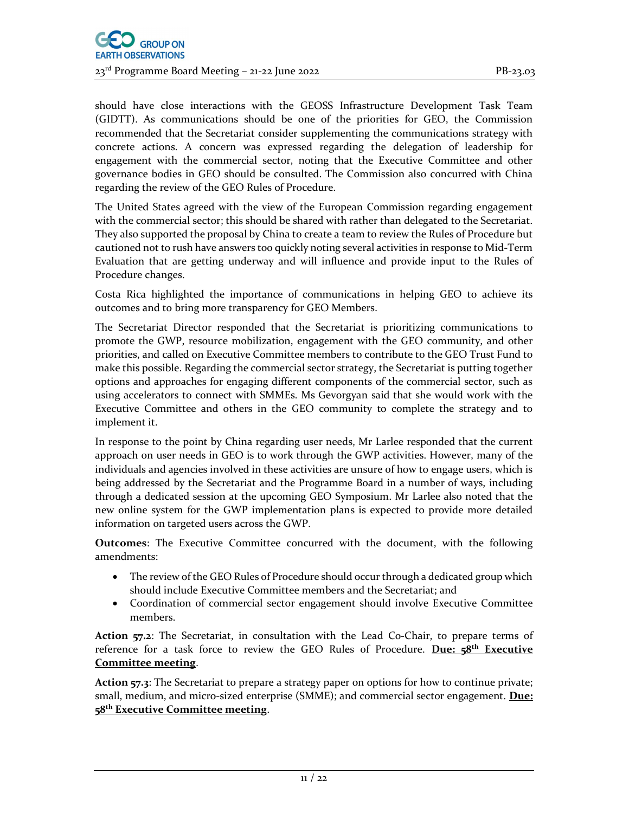should have close interactions with the GEOSS Infrastructure Development Task Team (GIDTT). As communications should be one of the priorities for GEO, the Commission recommended that the Secretariat consider supplementing the communications strategy with concrete actions. A concern was expressed regarding the delegation of leadership for engagement with the commercial sector, noting that the Executive Committee and other governance bodies in GEO should be consulted. The Commission also concurred with China regarding the review of the GEO Rules of Procedure.

The United States agreed with the view of the European Commission regarding engagement with the commercial sector; this should be shared with rather than delegated to the Secretariat. They also supported the proposal by China to create a team to review the Rules of Procedure but cautioned not to rush have answers too quickly noting several activities in response to Mid-Term Evaluation that are getting underway and will influence and provide input to the Rules of Procedure changes.

Costa Rica highlighted the importance of communications in helping GEO to achieve its outcomes and to bring more transparency for GEO Members.

The Secretariat Director responded that the Secretariat is prioritizing communications to promote the GWP, resource mobilization, engagement with the GEO community, and other priorities, and called on Executive Committee members to contribute to the GEO Trust Fund to make this possible. Regarding the commercial sector strategy, the Secretariat is putting together options and approaches for engaging different components of the commercial sector, such as using accelerators to connect with SMMEs. Ms Gevorgyan said that she would work with the Executive Committee and others in the GEO community to complete the strategy and to implement it.

In response to the point by China regarding user needs, Mr Larlee responded that the current approach on user needs in GEO is to work through the GWP activities. However, many of the individuals and agencies involved in these activities are unsure of how to engage users, which is being addressed by the Secretariat and the Programme Board in a number of ways, including through a dedicated session at the upcoming GEO Symposium. Mr Larlee also noted that the new online system for the GWP implementation plans is expected to provide more detailed information on targeted users across the GWP.

Outcomes: The Executive Committee concurred with the document, with the following amendments:

- The review of the GEO Rules of Procedure should occur through a dedicated group which should include Executive Committee members and the Secretariat; and
- Coordination of commercial sector engagement should involve Executive Committee members.

Action 57.2: The Secretariat, in consultation with the Lead Co-Chair, to prepare terms of reference for a task force to review the GEO Rules of Procedure. Due: 58<sup>th</sup> Executive Committee meeting.

Action 57.3: The Secretariat to prepare a strategy paper on options for how to continue private; small, medium, and micro-sized enterprise (SMME); and commercial sector engagement. Due: 58th Executive Committee meeting.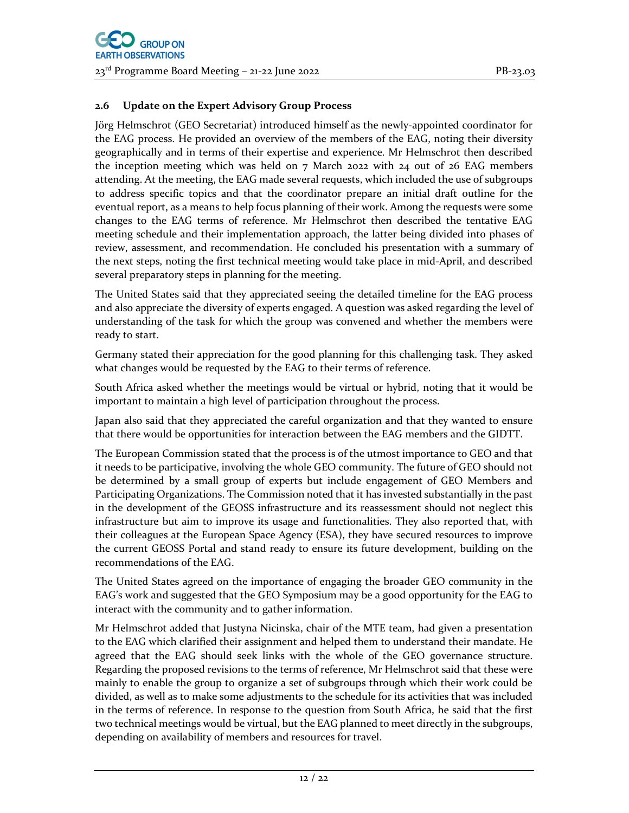#### 2.6 Update on the Expert Advisory Group Process

Jörg Helmschrot (GEO Secretariat) introduced himself as the newly-appointed coordinator for the EAG process. He provided an overview of the members of the EAG, noting their diversity geographically and in terms of their expertise and experience. Mr Helmschrot then described the inception meeting which was held on 7 March 2022 with 24 out of 26 EAG members attending. At the meeting, the EAG made several requests, which included the use of subgroups to address specific topics and that the coordinator prepare an initial draft outline for the eventual report, as a means to help focus planning of their work. Among the requests were some changes to the EAG terms of reference. Mr Helmschrot then described the tentative EAG meeting schedule and their implementation approach, the latter being divided into phases of review, assessment, and recommendation. He concluded his presentation with a summary of the next steps, noting the first technical meeting would take place in mid-April, and described several preparatory steps in planning for the meeting.

The United States said that they appreciated seeing the detailed timeline for the EAG process and also appreciate the diversity of experts engaged. A question was asked regarding the level of understanding of the task for which the group was convened and whether the members were ready to start.

Germany stated their appreciation for the good planning for this challenging task. They asked what changes would be requested by the EAG to their terms of reference.

South Africa asked whether the meetings would be virtual or hybrid, noting that it would be important to maintain a high level of participation throughout the process.

Japan also said that they appreciated the careful organization and that they wanted to ensure that there would be opportunities for interaction between the EAG members and the GIDTT.

The European Commission stated that the process is of the utmost importance to GEO and that it needs to be participative, involving the whole GEO community. The future of GEO should not be determined by a small group of experts but include engagement of GEO Members and Participating Organizations. The Commission noted that it has invested substantially in the past in the development of the GEOSS infrastructure and its reassessment should not neglect this infrastructure but aim to improve its usage and functionalities. They also reported that, with their colleagues at the European Space Agency (ESA), they have secured resources to improve the current GEOSS Portal and stand ready to ensure its future development, building on the recommendations of the EAG.

The United States agreed on the importance of engaging the broader GEO community in the EAG's work and suggested that the GEO Symposium may be a good opportunity for the EAG to interact with the community and to gather information.

Mr Helmschrot added that Justyna Nicinska, chair of the MTE team, had given a presentation to the EAG which clarified their assignment and helped them to understand their mandate. He agreed that the EAG should seek links with the whole of the GEO governance structure. Regarding the proposed revisions to the terms of reference, Mr Helmschrot said that these were mainly to enable the group to organize a set of subgroups through which their work could be divided, as well as to make some adjustments to the schedule for its activities that was included in the terms of reference. In response to the question from South Africa, he said that the first two technical meetings would be virtual, but the EAG planned to meet directly in the subgroups, depending on availability of members and resources for travel.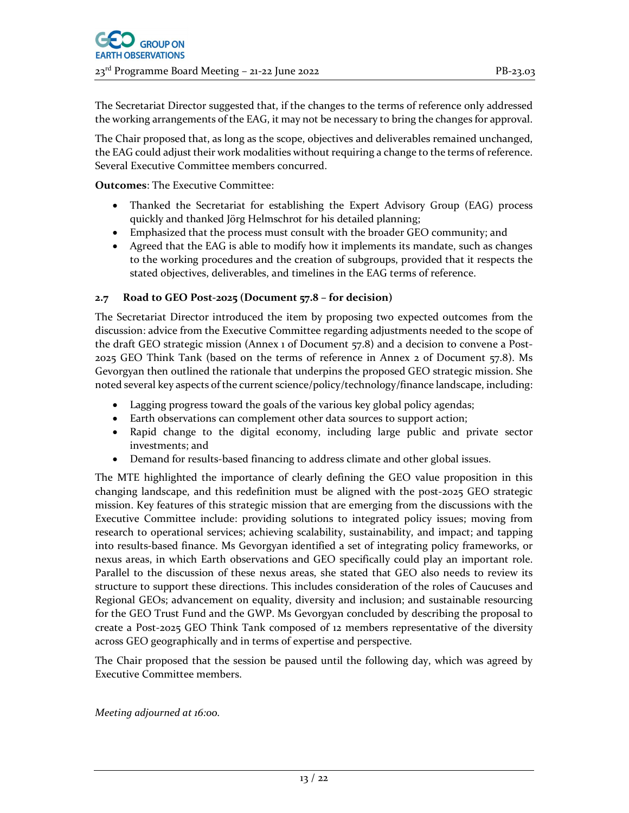The Secretariat Director suggested that, if the changes to the terms of reference only addressed the working arrangements of the EAG, it may not be necessary to bring the changes for approval.

The Chair proposed that, as long as the scope, objectives and deliverables remained unchanged, the EAG could adjust their work modalities without requiring a change to the terms of reference. Several Executive Committee members concurred.

Outcomes: The Executive Committee:

- Thanked the Secretariat for establishing the Expert Advisory Group (EAG) process quickly and thanked Jörg Helmschrot for his detailed planning;
- Emphasized that the process must consult with the broader GEO community; and
- Agreed that the EAG is able to modify how it implements its mandate, such as changes to the working procedures and the creation of subgroups, provided that it respects the stated objectives, deliverables, and timelines in the EAG terms of reference.

#### 2.7 Road to GEO Post-2025 (Document 57.8 – for decision)

The Secretariat Director introduced the item by proposing two expected outcomes from the discussion: advice from the Executive Committee regarding adjustments needed to the scope of the draft GEO strategic mission (Annex 1 of Document 57.8) and a decision to convene a Post-2025 GEO Think Tank (based on the terms of reference in Annex 2 of Document 57.8). Ms Gevorgyan then outlined the rationale that underpins the proposed GEO strategic mission. She noted several key aspects of the current science/policy/technology/finance landscape, including:

- Lagging progress toward the goals of the various key global policy agendas;
- Earth observations can complement other data sources to support action;
- Rapid change to the digital economy, including large public and private sector investments; and
- Demand for results-based financing to address climate and other global issues.

The MTE highlighted the importance of clearly defining the GEO value proposition in this changing landscape, and this redefinition must be aligned with the post-2025 GEO strategic mission. Key features of this strategic mission that are emerging from the discussions with the Executive Committee include: providing solutions to integrated policy issues; moving from research to operational services; achieving scalability, sustainability, and impact; and tapping into results-based finance. Ms Gevorgyan identified a set of integrating policy frameworks, or nexus areas, in which Earth observations and GEO specifically could play an important role. Parallel to the discussion of these nexus areas, she stated that GEO also needs to review its structure to support these directions. This includes consideration of the roles of Caucuses and Regional GEOs; advancement on equality, diversity and inclusion; and sustainable resourcing for the GEO Trust Fund and the GWP. Ms Gevorgyan concluded by describing the proposal to create a Post-2025 GEO Think Tank composed of 12 members representative of the diversity across GEO geographically and in terms of expertise and perspective.

The Chair proposed that the session be paused until the following day, which was agreed by Executive Committee members.

Meeting adjourned at 16:00.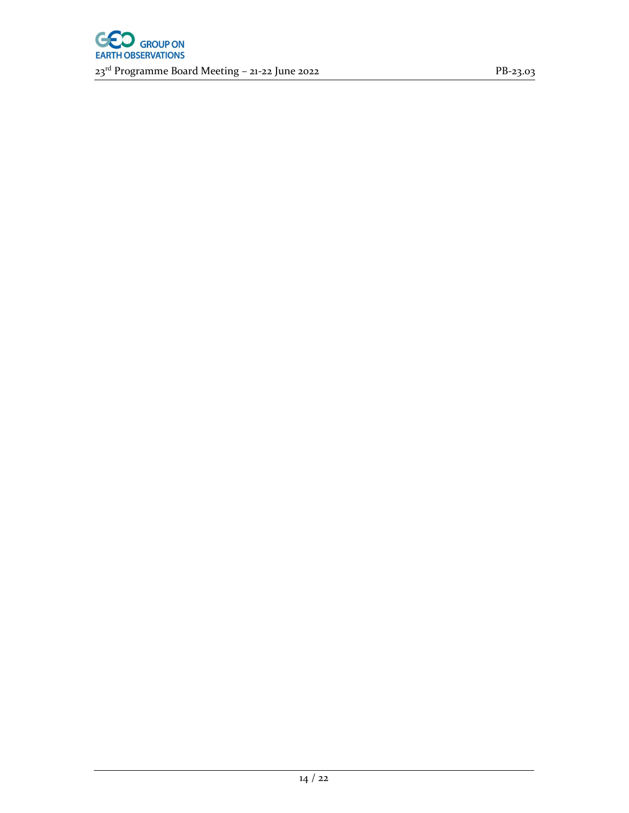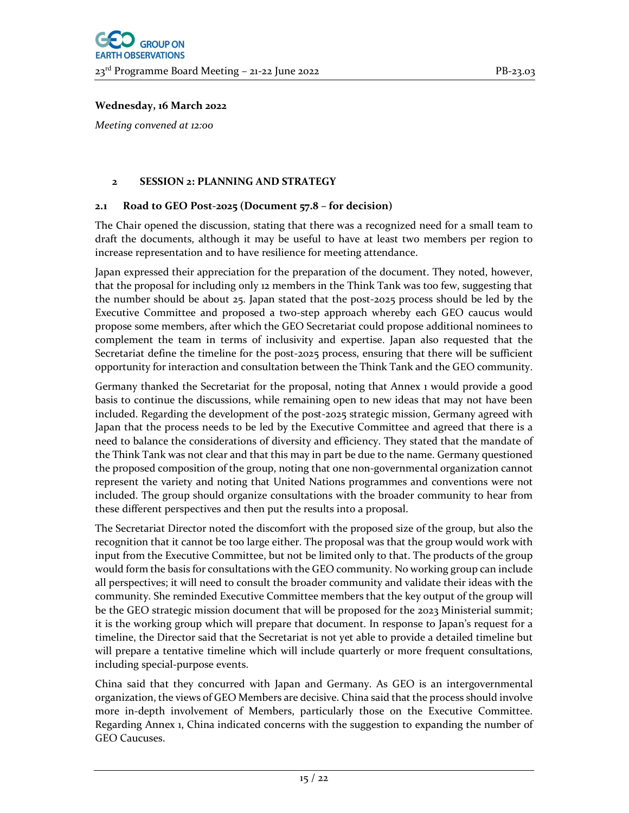#### Wednesday, 16 March 2022

Meeting convened at 12:00

#### 2 SESSION 2: PLANNING AND STRATEGY

#### 2.1 Road to GEO Post-2025 (Document 57.8 – for decision)

The Chair opened the discussion, stating that there was a recognized need for a small team to draft the documents, although it may be useful to have at least two members per region to increase representation and to have resilience for meeting attendance.

Japan expressed their appreciation for the preparation of the document. They noted, however, that the proposal for including only 12 members in the Think Tank was too few, suggesting that the number should be about 25. Japan stated that the post-2025 process should be led by the Executive Committee and proposed a two-step approach whereby each GEO caucus would propose some members, after which the GEO Secretariat could propose additional nominees to complement the team in terms of inclusivity and expertise. Japan also requested that the Secretariat define the timeline for the post-2025 process, ensuring that there will be sufficient opportunity for interaction and consultation between the Think Tank and the GEO community.

Germany thanked the Secretariat for the proposal, noting that Annex 1 would provide a good basis to continue the discussions, while remaining open to new ideas that may not have been included. Regarding the development of the post-2025 strategic mission, Germany agreed with Japan that the process needs to be led by the Executive Committee and agreed that there is a need to balance the considerations of diversity and efficiency. They stated that the mandate of the Think Tank was not clear and that this may in part be due to the name. Germany questioned the proposed composition of the group, noting that one non-governmental organization cannot represent the variety and noting that United Nations programmes and conventions were not included. The group should organize consultations with the broader community to hear from these different perspectives and then put the results into a proposal.

The Secretariat Director noted the discomfort with the proposed size of the group, but also the recognition that it cannot be too large either. The proposal was that the group would work with input from the Executive Committee, but not be limited only to that. The products of the group would form the basis for consultations with the GEO community. No working group can include all perspectives; it will need to consult the broader community and validate their ideas with the community. She reminded Executive Committee members that the key output of the group will be the GEO strategic mission document that will be proposed for the 2023 Ministerial summit; it is the working group which will prepare that document. In response to Japan's request for a timeline, the Director said that the Secretariat is not yet able to provide a detailed timeline but will prepare a tentative timeline which will include quarterly or more frequent consultations, including special-purpose events.

China said that they concurred with Japan and Germany. As GEO is an intergovernmental organization, the views of GEO Members are decisive. China said that the process should involve more in-depth involvement of Members, particularly those on the Executive Committee. Regarding Annex 1, China indicated concerns with the suggestion to expanding the number of GEO Caucuses.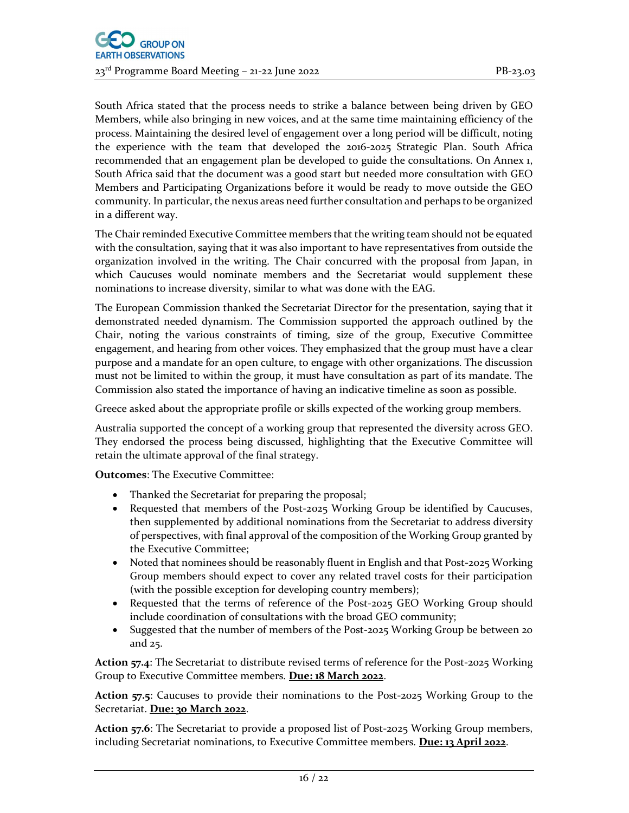South Africa stated that the process needs to strike a balance between being driven by GEO Members, while also bringing in new voices, and at the same time maintaining efficiency of the process. Maintaining the desired level of engagement over a long period will be difficult, noting the experience with the team that developed the 2016-2025 Strategic Plan. South Africa recommended that an engagement plan be developed to guide the consultations. On Annex 1, South Africa said that the document was a good start but needed more consultation with GEO Members and Participating Organizations before it would be ready to move outside the GEO community. In particular, the nexus areas need further consultation and perhaps to be organized in a different way.

The Chair reminded Executive Committee members that the writing team should not be equated with the consultation, saying that it was also important to have representatives from outside the organization involved in the writing. The Chair concurred with the proposal from Japan, in which Caucuses would nominate members and the Secretariat would supplement these nominations to increase diversity, similar to what was done with the EAG.

The European Commission thanked the Secretariat Director for the presentation, saying that it demonstrated needed dynamism. The Commission supported the approach outlined by the Chair, noting the various constraints of timing, size of the group, Executive Committee engagement, and hearing from other voices. They emphasized that the group must have a clear purpose and a mandate for an open culture, to engage with other organizations. The discussion must not be limited to within the group, it must have consultation as part of its mandate. The Commission also stated the importance of having an indicative timeline as soon as possible.

Greece asked about the appropriate profile or skills expected of the working group members.

Australia supported the concept of a working group that represented the diversity across GEO. They endorsed the process being discussed, highlighting that the Executive Committee will retain the ultimate approval of the final strategy.

Outcomes: The Executive Committee:

- Thanked the Secretariat for preparing the proposal;
- Requested that members of the Post-2025 Working Group be identified by Caucuses, then supplemented by additional nominations from the Secretariat to address diversity of perspectives, with final approval of the composition of the Working Group granted by the Executive Committee;
- Noted that nominees should be reasonably fluent in English and that Post-2025 Working Group members should expect to cover any related travel costs for their participation (with the possible exception for developing country members);
- Requested that the terms of reference of the Post-2025 GEO Working Group should include coordination of consultations with the broad GEO community;
- Suggested that the number of members of the Post-2025 Working Group be between 20 and 25.

Action 57.4: The Secretariat to distribute revised terms of reference for the Post-2025 Working Group to Executive Committee members. Due: 18 March 2022.

Action 57.5: Caucuses to provide their nominations to the Post-2025 Working Group to the Secretariat. Due: 30 March 2022.

Action 57.6: The Secretariat to provide a proposed list of Post-2025 Working Group members, including Secretariat nominations, to Executive Committee members. Due: 13 April 2022.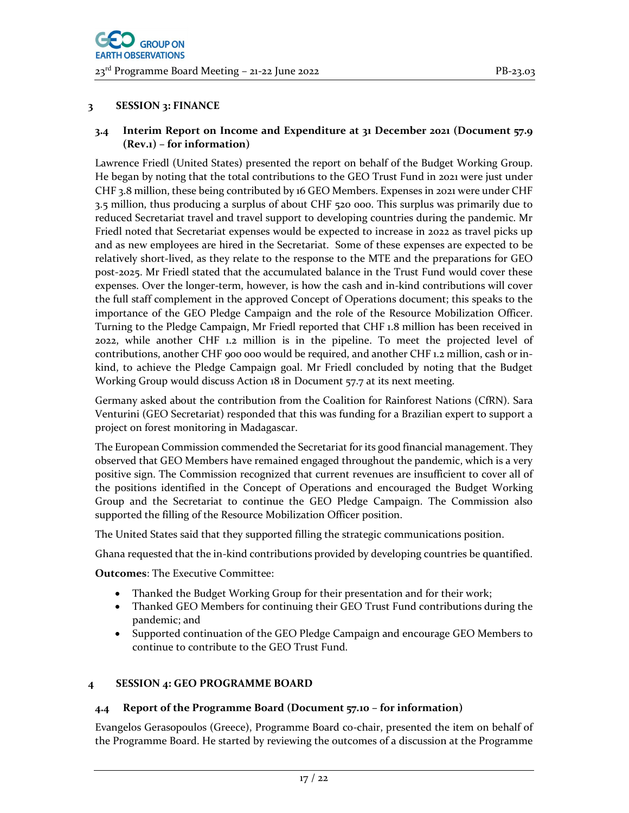#### 3 SESSION 3: FINANCE

#### 3.4 Interim Report on Income and Expenditure at 31 December 2021 (Document 57.9 (Rev.1) – for information)

Lawrence Friedl (United States) presented the report on behalf of the Budget Working Group. He began by noting that the total contributions to the GEO Trust Fund in 2021 were just under CHF 3.8 million, these being contributed by 16 GEO Members. Expenses in 2021 were under CHF 3.5 million, thus producing a surplus of about CHF 520 000. This surplus was primarily due to reduced Secretariat travel and travel support to developing countries during the pandemic. Mr Friedl noted that Secretariat expenses would be expected to increase in 2022 as travel picks up and as new employees are hired in the Secretariat. Some of these expenses are expected to be relatively short-lived, as they relate to the response to the MTE and the preparations for GEO post-2025. Mr Friedl stated that the accumulated balance in the Trust Fund would cover these expenses. Over the longer-term, however, is how the cash and in-kind contributions will cover the full staff complement in the approved Concept of Operations document; this speaks to the importance of the GEO Pledge Campaign and the role of the Resource Mobilization Officer. Turning to the Pledge Campaign, Mr Friedl reported that CHF 1.8 million has been received in 2022, while another CHF 1.2 million is in the pipeline. To meet the projected level of contributions, another CHF 900 000 would be required, and another CHF 1.2 million, cash or inkind, to achieve the Pledge Campaign goal. Mr Friedl concluded by noting that the Budget Working Group would discuss Action 18 in Document 57.7 at its next meeting.

Germany asked about the contribution from the Coalition for Rainforest Nations (CfRN). Sara Venturini (GEO Secretariat) responded that this was funding for a Brazilian expert to support a project on forest monitoring in Madagascar.

The European Commission commended the Secretariat for its good financial management. They observed that GEO Members have remained engaged throughout the pandemic, which is a very positive sign. The Commission recognized that current revenues are insufficient to cover all of the positions identified in the Concept of Operations and encouraged the Budget Working Group and the Secretariat to continue the GEO Pledge Campaign. The Commission also supported the filling of the Resource Mobilization Officer position.

The United States said that they supported filling the strategic communications position.

Ghana requested that the in-kind contributions provided by developing countries be quantified.

Outcomes: The Executive Committee:

- Thanked the Budget Working Group for their presentation and for their work;
- Thanked GEO Members for continuing their GEO Trust Fund contributions during the pandemic; and
- Supported continuation of the GEO Pledge Campaign and encourage GEO Members to continue to contribute to the GEO Trust Fund.

#### 4 SESSION 4: GEO PROGRAMME BOARD

#### 4.4 Report of the Programme Board (Document 57.10 – for information)

Evangelos Gerasopoulos (Greece), Programme Board co-chair, presented the item on behalf of the Programme Board. He started by reviewing the outcomes of a discussion at the Programme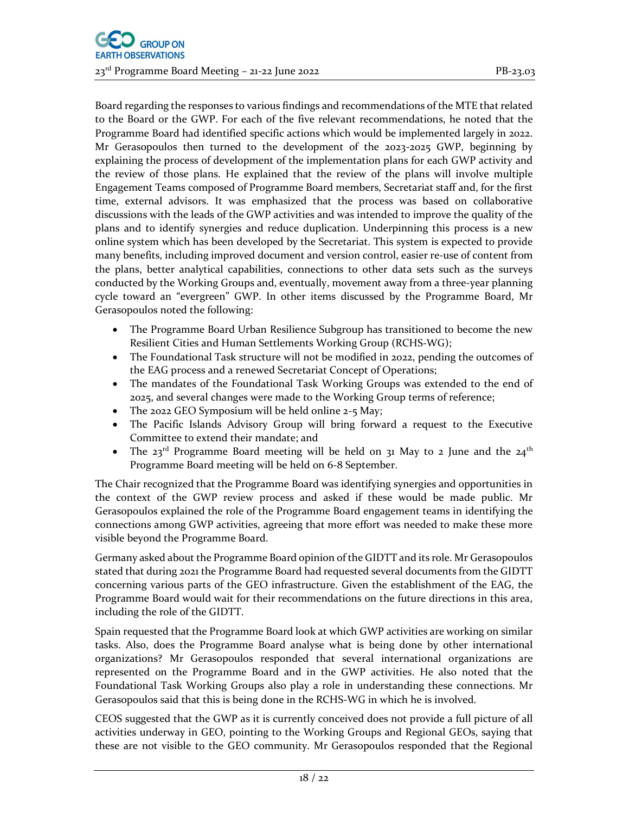Board regarding the responses to various findings and recommendations of the MTE that related to the Board or the GWP. For each of the five relevant recommendations, he noted that the Programme Board had identified specific actions which would be implemented largely in 2022. Mr Gerasopoulos then turned to the development of the 2023-2025 GWP, beginning by explaining the process of development of the implementation plans for each GWP activity and the review of those plans. He explained that the review of the plans will involve multiple Engagement Teams composed of Programme Board members, Secretariat staff and, for the first time, external advisors. It was emphasized that the process was based on collaborative discussions with the leads of the GWP activities and was intended to improve the quality of the plans and to identify synergies and reduce duplication. Underpinning this process is a new online system which has been developed by the Secretariat. This system is expected to provide many benefits, including improved document and version control, easier re-use of content from the plans, better analytical capabilities, connections to other data sets such as the surveys conducted by the Working Groups and, eventually, movement away from a three-year planning cycle toward an "evergreen" GWP. In other items discussed by the Programme Board, Mr Gerasopoulos noted the following:

- The Programme Board Urban Resilience Subgroup has transitioned to become the new Resilient Cities and Human Settlements Working Group (RCHS-WG);
- The Foundational Task structure will not be modified in 2022, pending the outcomes of the EAG process and a renewed Secretariat Concept of Operations;
- The mandates of the Foundational Task Working Groups was extended to the end of 2025, and several changes were made to the Working Group terms of reference;
- The 2022 GEO Symposium will be held online 2-5 May;
- The Pacific Islands Advisory Group will bring forward a request to the Executive Committee to extend their mandate; and
- The  $23^{\text{rd}}$  Programme Board meeting will be held on 31 May to 2 June and the  $24^{\text{th}}$ Programme Board meeting will be held on 6-8 September.

The Chair recognized that the Programme Board was identifying synergies and opportunities in the context of the GWP review process and asked if these would be made public. Mr Gerasopoulos explained the role of the Programme Board engagement teams in identifying the connections among GWP activities, agreeing that more effort was needed to make these more visible beyond the Programme Board.

Germany asked about the Programme Board opinion of the GIDTT and its role. Mr Gerasopoulos stated that during 2021 the Programme Board had requested several documents from the GIDTT concerning various parts of the GEO infrastructure. Given the establishment of the EAG, the Programme Board would wait for their recommendations on the future directions in this area, including the role of the GIDTT.

Spain requested that the Programme Board look at which GWP activities are working on similar tasks. Also, does the Programme Board analyse what is being done by other international organizations? Mr Gerasopoulos responded that several international organizations are represented on the Programme Board and in the GWP activities. He also noted that the Foundational Task Working Groups also play a role in understanding these connections. Mr Gerasopoulos said that this is being done in the RCHS-WG in which he is involved.

CEOS suggested that the GWP as it is currently conceived does not provide a full picture of all activities underway in GEO, pointing to the Working Groups and Regional GEOs, saying that these are not visible to the GEO community. Mr Gerasopoulos responded that the Regional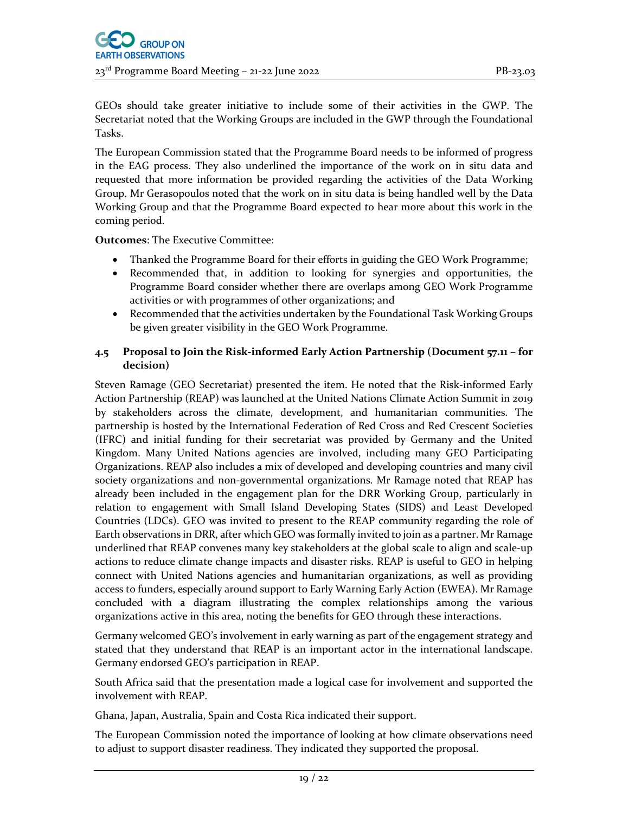GEOs should take greater initiative to include some of their activities in the GWP. The Secretariat noted that the Working Groups are included in the GWP through the Foundational Tasks.

The European Commission stated that the Programme Board needs to be informed of progress in the EAG process. They also underlined the importance of the work on in situ data and requested that more information be provided regarding the activities of the Data Working Group. Mr Gerasopoulos noted that the work on in situ data is being handled well by the Data Working Group and that the Programme Board expected to hear more about this work in the coming period.

Outcomes: The Executive Committee:

- Thanked the Programme Board for their efforts in guiding the GEO Work Programme;
- Recommended that, in addition to looking for synergies and opportunities, the Programme Board consider whether there are overlaps among GEO Work Programme activities or with programmes of other organizations; and
- Recommended that the activities undertaken by the Foundational Task Working Groups be given greater visibility in the GEO Work Programme.

#### 4.5 Proposal to Join the Risk-informed Early Action Partnership (Document 57.11 – for decision)

Steven Ramage (GEO Secretariat) presented the item. He noted that the Risk-informed Early Action Partnership (REAP) was launched at the United Nations Climate Action Summit in 2019 by stakeholders across the climate, development, and humanitarian communities. The partnership is hosted by the International Federation of Red Cross and Red Crescent Societies (IFRC) and initial funding for their secretariat was provided by Germany and the United Kingdom. Many United Nations agencies are involved, including many GEO Participating Organizations. REAP also includes a mix of developed and developing countries and many civil society organizations and non-governmental organizations. Mr Ramage noted that REAP has already been included in the engagement plan for the DRR Working Group, particularly in relation to engagement with Small Island Developing States (SIDS) and Least Developed Countries (LDCs). GEO was invited to present to the REAP community regarding the role of Earth observations in DRR, after which GEO was formally invited to join as a partner. Mr Ramage underlined that REAP convenes many key stakeholders at the global scale to align and scale-up actions to reduce climate change impacts and disaster risks. REAP is useful to GEO in helping connect with United Nations agencies and humanitarian organizations, as well as providing access to funders, especially around support to Early Warning Early Action (EWEA). Mr Ramage concluded with a diagram illustrating the complex relationships among the various organizations active in this area, noting the benefits for GEO through these interactions.

Germany welcomed GEO's involvement in early warning as part of the engagement strategy and stated that they understand that REAP is an important actor in the international landscape. Germany endorsed GEO's participation in REAP.

South Africa said that the presentation made a logical case for involvement and supported the involvement with REAP.

Ghana, Japan, Australia, Spain and Costa Rica indicated their support.

The European Commission noted the importance of looking at how climate observations need to adjust to support disaster readiness. They indicated they supported the proposal.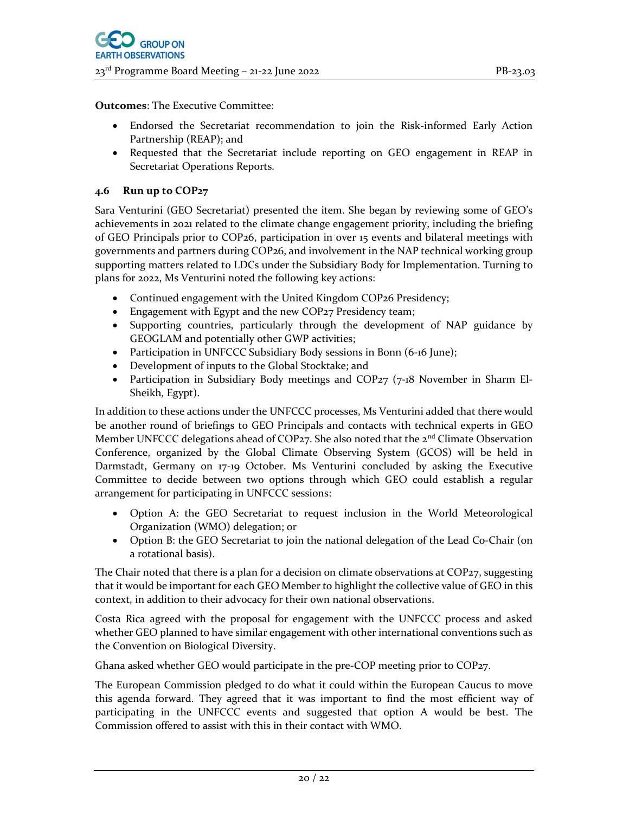Outcomes: The Executive Committee:

- Endorsed the Secretariat recommendation to join the Risk-informed Early Action Partnership (REAP); and
- Requested that the Secretariat include reporting on GEO engagement in REAP in Secretariat Operations Reports.

#### 4.6 Run up to COP27

Sara Venturini (GEO Secretariat) presented the item. She began by reviewing some of GEO's achievements in 2021 related to the climate change engagement priority, including the briefing of GEO Principals prior to COP26, participation in over 15 events and bilateral meetings with governments and partners during COP26, and involvement in the NAP technical working group supporting matters related to LDCs under the Subsidiary Body for Implementation. Turning to plans for 2022, Ms Venturini noted the following key actions:

- Continued engagement with the United Kingdom COP26 Presidency;
- Engagement with Egypt and the new COP27 Presidency team;
- Supporting countries, particularly through the development of NAP guidance by GEOGLAM and potentially other GWP activities;
- Participation in UNFCCC Subsidiary Body sessions in Bonn (6-16 June);
- Development of inputs to the Global Stocktake; and
- Participation in Subsidiary Body meetings and COP27 (7-18 November in Sharm El-Sheikh, Egypt).

In addition to these actions under the UNFCCC processes, Ms Venturini added that there would be another round of briefings to GEO Principals and contacts with technical experts in GEO Member UNFCCC delegations ahead of COP27. She also noted that the  $2<sup>nd</sup>$  Climate Observation Conference, organized by the Global Climate Observing System (GCOS) will be held in Darmstadt, Germany on 17-19 October. Ms Venturini concluded by asking the Executive Committee to decide between two options through which GEO could establish a regular arrangement for participating in UNFCCC sessions:

- Option A: the GEO Secretariat to request inclusion in the World Meteorological Organization (WMO) delegation; or
- Option B: the GEO Secretariat to join the national delegation of the Lead Co-Chair (on a rotational basis).

The Chair noted that there is a plan for a decision on climate observations at COP27, suggesting that it would be important for each GEO Member to highlight the collective value of GEO in this context, in addition to their advocacy for their own national observations.

Costa Rica agreed with the proposal for engagement with the UNFCCC process and asked whether GEO planned to have similar engagement with other international conventions such as the Convention on Biological Diversity.

Ghana asked whether GEO would participate in the pre-COP meeting prior to COP27.

The European Commission pledged to do what it could within the European Caucus to move this agenda forward. They agreed that it was important to find the most efficient way of participating in the UNFCCC events and suggested that option A would be best. The Commission offered to assist with this in their contact with WMO.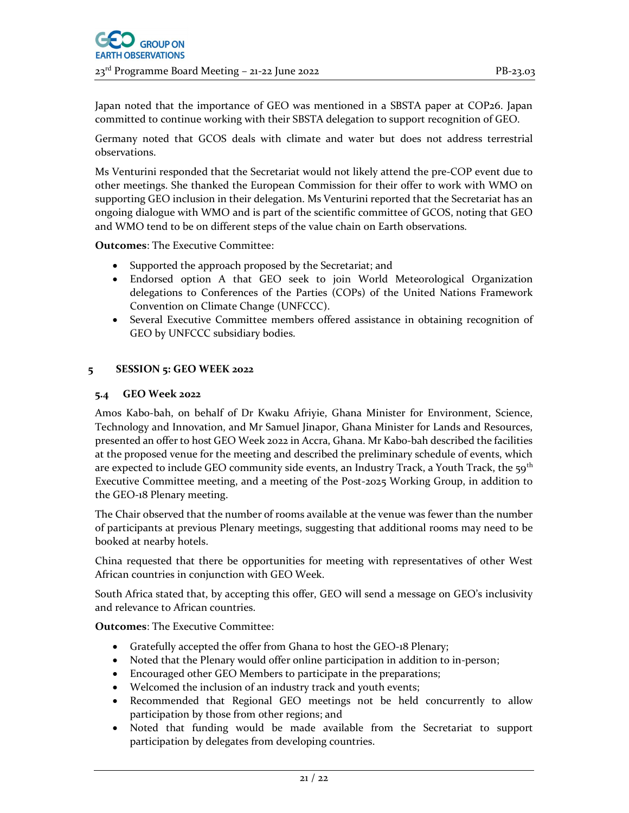Japan noted that the importance of GEO was mentioned in a SBSTA paper at COP26. Japan committed to continue working with their SBSTA delegation to support recognition of GEO.

Germany noted that GCOS deals with climate and water but does not address terrestrial observations.

Ms Venturini responded that the Secretariat would not likely attend the pre-COP event due to other meetings. She thanked the European Commission for their offer to work with WMO on supporting GEO inclusion in their delegation. Ms Venturini reported that the Secretariat has an ongoing dialogue with WMO and is part of the scientific committee of GCOS, noting that GEO and WMO tend to be on different steps of the value chain on Earth observations.

Outcomes: The Executive Committee:

- Supported the approach proposed by the Secretariat; and
- Endorsed option A that GEO seek to join World Meteorological Organization delegations to Conferences of the Parties (COPs) of the United Nations Framework Convention on Climate Change (UNFCCC).
- Several Executive Committee members offered assistance in obtaining recognition of GEO by UNFCCC subsidiary bodies.

#### 5 SESSION 5: GEO WEEK 2022

#### 5.4 GEO Week 2022

Amos Kabo-bah, on behalf of Dr Kwaku Afriyie, Ghana Minister for Environment, Science, Technology and Innovation, and Mr Samuel Jinapor, Ghana Minister for Lands and Resources, presented an offer to host GEO Week 2022 in Accra, Ghana. Mr Kabo-bah described the facilities at the proposed venue for the meeting and described the preliminary schedule of events, which are expected to include GEO community side events, an Industry Track, a Youth Track, the  $59<sup>th</sup>$ Executive Committee meeting, and a meeting of the Post-2025 Working Group, in addition to the GEO-18 Plenary meeting.

The Chair observed that the number of rooms available at the venue was fewer than the number of participants at previous Plenary meetings, suggesting that additional rooms may need to be booked at nearby hotels.

China requested that there be opportunities for meeting with representatives of other West African countries in conjunction with GEO Week.

South Africa stated that, by accepting this offer, GEO will send a message on GEO's inclusivity and relevance to African countries.

Outcomes: The Executive Committee:

- Gratefully accepted the offer from Ghana to host the GEO-18 Plenary;
- Noted that the Plenary would offer online participation in addition to in-person;
- Encouraged other GEO Members to participate in the preparations;
- Welcomed the inclusion of an industry track and youth events;
- Recommended that Regional GEO meetings not be held concurrently to allow participation by those from other regions; and
- Noted that funding would be made available from the Secretariat to support participation by delegates from developing countries.